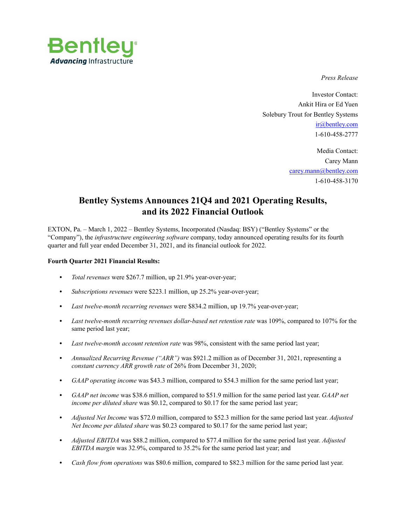

*Press Release* 

Investor Contact: Ankit Hira or Ed Yuen Solebury Trout for Bentley Systems ir@bentley.com 1-610-458-2777

> Media Contact: Carey Mann carey.mann@bentley.com 1-610-458-3170

# **Bentley Systems Announces 21Q4 and 2021 Operating Results, and its 2022 Financial Outlook**

EXTON, Pa. – March 1, 2022 – Bentley Systems, Incorporated (Nasdaq: BSY) ("Bentley Systems" or the "Company"), the *infrastructure engineering software* company, today announced operating results for its fourth quarter and full year ended December 31, 2021, and its financial outlook for 2022.

#### **Fourth Quarter 2021 Financial Results:**

- **•** *Total revenues* were \$267.7 million, up 21.9% year-over-year;
- **•** *Subscriptions revenues* were \$223.1 million, up 25.2% year-over-year;
- **•** *Last twelve-month recurring revenues* were \$834.2 million, up 19.7% year-over-year;
- **•** *Last twelve-month recurring revenues dollar-based net retention rate* was 109%, compared to 107% for the same period last year;
- **•** *Last twelve-month account retention rate* was 98%, consistent with the same period last year;
- **•** *Annualized Recurring Revenue ("ARR")* was \$921.2 million as of December 31, 2021, representing a *constant currency ARR growth rate* of 26% from December 31, 2020;
- **•** *GAAP operating income* was \$43.3 million, compared to \$54.3 million for the same period last year;
- **•** *GAAP net income* was \$38.6 million, compared to \$51.9 million for the same period last year. *GAAP net income per diluted share* was \$0.12, compared to \$0.17 for the same period last year;
- **•** *Adjusted Net Income* was \$72.0 million, compared to \$52.3 million for the same period last year. *Adjusted Net Income per diluted share* was \$0.23 compared to \$0.17 for the same period last year;
- **•** *Adjusted EBITDA* was \$88.2 million, compared to \$77.4 million for the same period last year. *Adjusted EBITDA margin* was 32.9%, compared to 35.2% for the same period last year; and
- **•** *Cash flow from operations* was \$80.6 million, compared to \$82.3 million for the same period last year.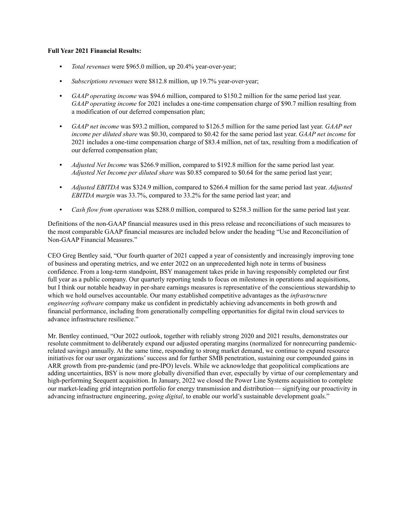#### **Full Year 2021 Financial Results:**

- **•** *Total revenues* were \$965.0 million, up 20.4% year-over-year;
- **•** *Subscriptions revenues* were \$812.8 million, up 19.7% year-over-year;
- **•** *GAAP operating income* was \$94.6 million, compared to \$150.2 million for the same period last year. *GAAP operating income* for 2021 includes a one-time compensation charge of \$90.7 million resulting from a modification of our deferred compensation plan;
- **•** *GAAP net income* was \$93.2 million, compared to \$126.5 million for the same period last year. *GAAP net income per diluted share* was \$0.30, compared to \$0.42 for the same period last year. *GAAP net income* for 2021 includes a one-time compensation charge of \$83.4 million, net of tax, resulting from a modification of our deferred compensation plan;
- **•** *Adjusted Net Income* was \$266.9 million, compared to \$192.8 million for the same period last year. *Adjusted Net Income per diluted share* was \$0.85 compared to \$0.64 for the same period last year;
- **•** *Adjusted EBITDA* was \$324.9 million, compared to \$266.4 million for the same period last year. *Adjusted EBITDA margin* was 33.7%, compared to 33.2% for the same period last year; and
- **•** *Cash flow from operations* was \$288.0 million, compared to \$258.3 million for the same period last year.

Definitions of the non‑GAAP financial measures used in this press release and reconciliations of such measures to the most comparable GAAP financial measures are included below under the heading "Use and Reconciliation of Non‑GAAP Financial Measures."

CEO Greg Bentley said, "Our fourth quarter of 2021 capped a year of consistently and increasingly improving tone of business and operating metrics, and we enter 2022 on an unprecedented high note in terms of business confidence. From a long-term standpoint, BSY management takes pride in having responsibly completed our first full year as a public company. Our quarterly reporting tends to focus on milestones in operations and acquisitions, but I think our notable headway in per-share earnings measures is representative of the conscientious stewardship to which we hold ourselves accountable. Our many established competitive advantages as the *infrastructure engineering software* company make us confident in predictably achieving advancements in both growth and financial performance, including from generationally compelling opportunities for digital twin cloud services to advance infrastructure resilience."

Mr. Bentley continued, "Our 2022 outlook, together with reliably strong 2020 and 2021 results, demonstrates our resolute commitment to deliberately expand our adjusted operating margins (normalized for nonrecurring pandemicrelated savings) annually. At the same time, responding to strong market demand, we continue to expand resource initiatives for our user organizations' success and for further SMB penetration, sustaining our compounded gains in ARR growth from pre-pandemic (and pre-IPO) levels. While we acknowledge that geopolitical complications are adding uncertainties, BSY is now more globally diversified than ever, especially by virtue of our complementary and high-performing Seequent acquisition. In January, 2022 we closed the Power Line Systems acquisition to complete our market-leading grid integration portfolio for energy transmission and distribution— signifying our proactivity in advancing infrastructure engineering, *going digital*, to enable our world's sustainable development goals."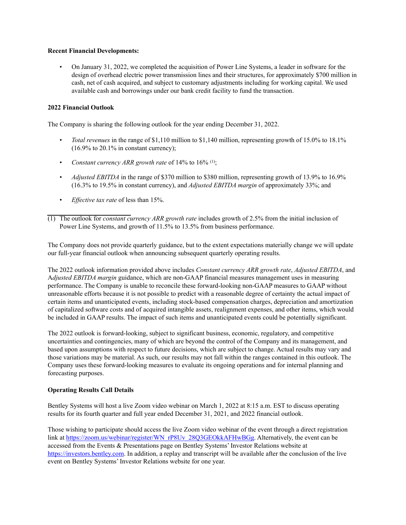#### **Recent Financial Developments:**

• On January 31, 2022, we completed the acquisition of Power Line Systems, a leader in software for the design of overhead electric power transmission lines and their structures, for approximately \$700 million in cash, net of cash acquired, and subject to customary adjustments including for working capital. We used available cash and borrowings under our bank credit facility to fund the transaction.

#### **2022 Financial Outlook**

The Company is sharing the following outlook for the year ending December 31, 2022.

- *Total revenues* in the range of \$1,110 million to \$1,140 million, representing growth of 15.0% to 18.1%  $(16.9\% \text{ to } 20.1\% \text{ in constant currency});$
- *Constant currency ARR growth rate* of 14% to 16% (1);
- *Adjusted EBITDA* in the range of \$370 million to \$380 million, representing growth of 13.9% to 16.9% (16.3% to 19.5% in constant currency), and *Adjusted EBITDA margin* of approximately 33%; and
- *Effective tax rate* of less than 15%.
- (1) The outlook for *constant currency ARR growth rate* includes growth of 2.5% from the initial inclusion of Power Line Systems, and growth of 11.5% to 13.5% from business performance.

The Company does not provide quarterly guidance, but to the extent expectations materially change we will update our full-year financial outlook when announcing subsequent quarterly operating results.

The 2022 outlook information provided above includes *Constant currency ARR growth rate*, *Adjusted EBITDA*, and A*djusted EBITDA margin* guidance, which are non-GAAP financial measures management uses in measuring performance. The Company is unable to reconcile these forward-looking non-GAAP measures to GAAP without unreasonable efforts because it is not possible to predict with a reasonable degree of certainty the actual impact of certain items and unanticipated events, including stock‑based compensation charges, depreciation and amortization of capitalized software costs and of acquired intangible assets, realignment expenses, and other items, which would be included in GAAP results. The impact of such items and unanticipated events could be potentially significant.

The 2022 outlook is forward-looking, subject to significant business, economic, regulatory, and competitive uncertainties and contingencies, many of which are beyond the control of the Company and its management, and based upon assumptions with respect to future decisions, which are subject to change. Actual results may vary and those variations may be material. As such, our results may not fall within the ranges contained in this outlook. The Company uses these forward-looking measures to evaluate its ongoing operations and for internal planning and forecasting purposes.

# **Operating Results Call Details**

Bentley Systems will host a live Zoom video webinar on March 1, 2022 at 8:15 a.m. EST to discuss operating results for its fourth quarter and full year ended December 31, 2021, and 2022 financial outlook.

Those wishing to participate should access the live Zoom video webinar of the event through a direct registration link at https://zoom.us/webinar/register/WN\_rP8Uv\_28Q3GEOkkAFHwBGg. Alternatively, the event can be accessed from the Events & Presentations page on Bentley Systems' Investor Relations website at https://investors.bentley.com. In addition, a replay and transcript will be available after the conclusion of the live event on Bentley Systems' Investor Relations website for one year.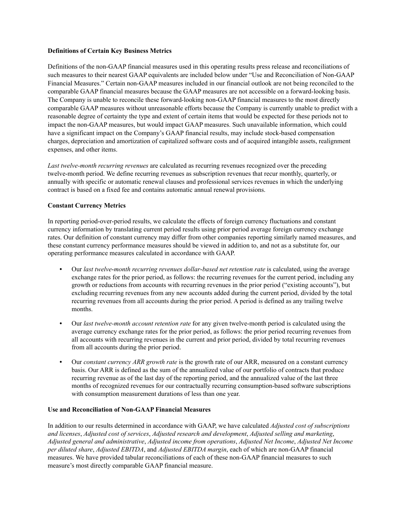#### **Definitions of Certain Key Business Metrics**

Definitions of the non‑GAAP financial measures used in this operating results press release and reconciliations of such measures to their nearest GAAP equivalents are included below under "Use and Reconciliation of Non-GAAP Financial Measures." Certain non‑GAAP measures included in our financial outlook are not being reconciled to the comparable GAAP financial measures because the GAAP measures are not accessible on a forward-looking basis. The Company is unable to reconcile these forward‑looking non‑GAAP financial measures to the most directly comparable GAAP measures without unreasonable efforts because the Company is currently unable to predict with a reasonable degree of certainty the type and extent of certain items that would be expected for these periods not to impact the non‑GAAP measures, but would impact GAAP measures. Such unavailable information, which could have a significant impact on the Company's GAAP financial results, may include stock-based compensation charges, depreciation and amortization of capitalized software costs and of acquired intangible assets, realignment expenses, and other items.

*Last twelve-month recurring revenues* are calculated as recurring revenues recognized over the preceding twelve-month period. We define recurring revenues as subscription revenues that recur monthly, quarterly, or annually with specific or automatic renewal clauses and professional services revenues in which the underlying contract is based on a fixed fee and contains automatic annual renewal provisions.

#### **Constant Currency Metrics**

In reporting period–over–period results, we calculate the effects of foreign currency fluctuations and constant currency information by translating current period results using prior period average foreign currency exchange rates. Our definition of constant currency may differ from other companies reporting similarly named measures, and these constant currency performance measures should be viewed in addition to, and not as a substitute for, our operating performance measures calculated in accordance with GAAP.

- **•** Our *last twelve*‑*month recurring revenues dollar*‑*based net retention rate* is calculated, using the average exchange rates for the prior period, as follows: the recurring revenues for the current period, including any growth or reductions from accounts with recurring revenues in the prior period ("existing accounts"), but excluding recurring revenues from any new accounts added during the current period, divided by the total recurring revenues from all accounts during the prior period. A period is defined as any trailing twelve months.
- **•** Our *last twelve-month account retention rate* for any given twelve‑month period is calculated using the average currency exchange rates for the prior period, as follows: the prior period recurring revenues from all accounts with recurring revenues in the current and prior period, divided by total recurring revenues from all accounts during the prior period.
- **•** Our *constant currency ARR growth rate* is the growth rate of our ARR, measured on a constant currency basis. Our ARR is defined as the sum of the annualized value of our portfolio of contracts that produce recurring revenue as of the last day of the reporting period, and the annualized value of the last three months of recognized revenues for our contractually recurring consumption-based software subscriptions with consumption measurement durations of less than one year.

#### **Use and Reconciliation of Non-GAAP Financial Measures**

In addition to our results determined in accordance with GAAP, we have calculated *Adjusted cost of subscriptions and licenses*, *Adjusted cost of services*, *Adjusted research and development*, *Adjusted selling and marketing*, *Adjusted general and administrative*, *Adjusted income from operations*, *Adjusted Net Income*, *Adjusted Net Income per diluted share*, *Adjusted EBITDA*, and *Adjusted EBITDA margin*, each of which are non‑GAAP financial measures. We have provided tabular reconciliations of each of these non‑GAAP financial measures to such measure's most directly comparable GAAP financial measure.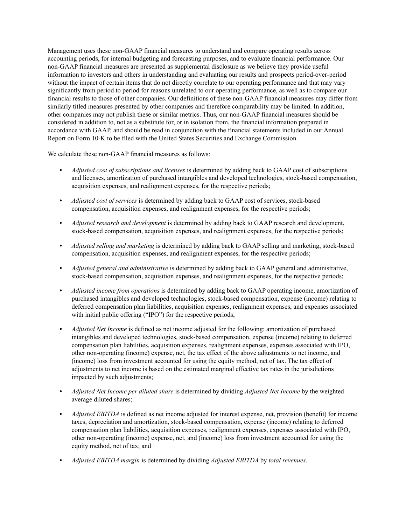Management uses these non‑GAAP financial measures to understand and compare operating results across accounting periods, for internal budgeting and forecasting purposes, and to evaluate financial performance. Our non‑GAAP financial measures are presented as supplemental disclosure as we believe they provide useful information to investors and others in understanding and evaluating our results and prospects period-over-period without the impact of certain items that do not directly correlate to our operating performance and that may vary significantly from period to period for reasons unrelated to our operating performance, as well as to compare our financial results to those of other companies. Our definitions of these non‑GAAP financial measures may differ from similarly titled measures presented by other companies and therefore comparability may be limited. In addition, other companies may not publish these or similar metrics. Thus, our non‑GAAP financial measures should be considered in addition to, not as a substitute for, or in isolation from, the financial information prepared in accordance with GAAP, and should be read in conjunction with the financial statements included in our Annual Report on Form 10‑K to be filed with the United States Securities and Exchange Commission.

We calculate these non-GAAP financial measures as follows:

- **•** *Adjusted cost of subscriptions and licenses* is determined by adding back to GAAP cost of subscriptions and licenses, amortization of purchased intangibles and developed technologies, stock-based compensation, acquisition expenses, and realignment expenses, for the respective periods;
- *Adjusted cost of services* is determined by adding back to GAAP cost of services, stock-based compensation, acquisition expenses, and realignment expenses, for the respective periods;
- **•** *Adjusted research and development* is determined by adding back to GAAP research and development, stock-based compensation, acquisition expenses, and realignment expenses, for the respective periods;
- **•** *Adjusted selling and marketing* is determined by adding back to GAAP selling and marketing, stock‑based compensation, acquisition expenses, and realignment expenses, for the respective periods;
- **•** *Adjusted general and administrative* is determined by adding back to GAAP general and administrative, stock-based compensation, acquisition expenses, and realignment expenses, for the respective periods;
- **•** *Adjusted income from operations* is determined by adding back to GAAP operating income, amortization of purchased intangibles and developed technologies, stock-based compensation, expense (income) relating to deferred compensation plan liabilities, acquisition expenses, realignment expenses, and expenses associated with initial public offering ("IPO") for the respective periods;
- **•** *Adjusted Net Income* is defined as net income adjusted for the following: amortization of purchased intangibles and developed technologies, stock‑based compensation, expense (income) relating to deferred compensation plan liabilities, acquisition expenses, realignment expenses, expenses associated with IPO, other non‑operating (income) expense, net, the tax effect of the above adjustments to net income, and (income) loss from investment accounted for using the equity method, net of tax. The tax effect of adjustments to net income is based on the estimated marginal effective tax rates in the jurisdictions impacted by such adjustments;
- **•** *Adjusted Net Income per diluted share* is determined by dividing *Adjusted Net Income* by the weighted average diluted shares;
- **•** *Adjusted EBITDA* is defined as net income adjusted for interest expense, net, provision (benefit) for income taxes, depreciation and amortization, stock‑based compensation, expense (income) relating to deferred compensation plan liabilities, acquisition expenses, realignment expenses, expenses associated with IPO, other non‑operating (income) expense, net, and (income) loss from investment accounted for using the equity method, net of tax; and
- **•** *Adjusted EBITDA margin* is determined by dividing *Adjusted EBITDA* by *total revenues*.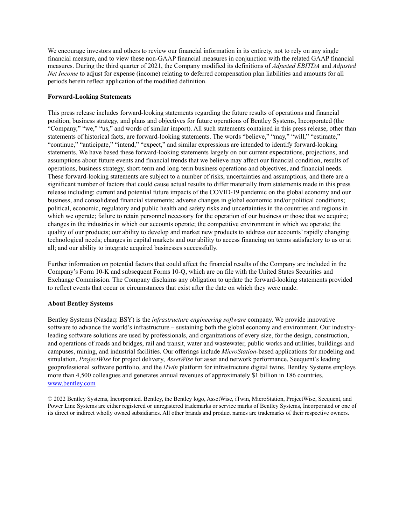We encourage investors and others to review our financial information in its entirety, not to rely on any single financial measure, and to view these non‑GAAP financial measures in conjunction with the related GAAP financial measures. During the third quarter of 2021, the Company modified its definitions of *Adjusted EBITDA* and *Adjusted Net Income* to adjust for expense (income) relating to deferred compensation plan liabilities and amounts for all periods herein reflect application of the modified definition.

# **Forward-Looking Statements**

This press release includes forward-looking statements regarding the future results of operations and financial position, business strategy, and plans and objectives for future operations of Bentley Systems, Incorporated (the "Company," "we," "us," and words of similar import). All such statements contained in this press release, other than statements of historical facts, are forward-looking statements. The words "believe," "may," "will," "estimate," "continue," "anticipate," "intend," "expect," and similar expressions are intended to identify forward-looking statements. We have based these forward-looking statements largely on our current expectations, projections, and assumptions about future events and financial trends that we believe may affect our financial condition, results of operations, business strategy, short-term and long-term business operations and objectives, and financial needs. These forward-looking statements are subject to a number of risks, uncertainties and assumptions, and there are a significant number of factors that could cause actual results to differ materially from statements made in this press release including: current and potential future impacts of the COVID-19 pandemic on the global economy and our business, and consolidated financial statements; adverse changes in global economic and/or political conditions; political, economic, regulatory and public health and safety risks and uncertainties in the countries and regions in which we operate; failure to retain personnel necessary for the operation of our business or those that we acquire; changes in the industries in which our accounts operate; the competitive environment in which we operate; the quality of our products; our ability to develop and market new products to address our accounts' rapidly changing technological needs; changes in capital markets and our ability to access financing on terms satisfactory to us or at all; and our ability to integrate acquired businesses successfully.

Further information on potential factors that could affect the financial results of the Company are included in the Company's Form 10‑K and subsequent Forms 10‑Q, which are on file with the United States Securities and Exchange Commission. The Company disclaims any obligation to update the forward-looking statements provided to reflect events that occur or circumstances that exist after the date on which they were made.

# **About Bentley Systems**

Bentley Systems (Nasdaq: BSY) is the *infrastructure engineering software* company. We provide innovative software to advance the world's infrastructure – sustaining both the global economy and environment. Our industryleading software solutions are used by professionals, and organizations of every size, for the design, construction, and operations of roads and bridges, rail and transit, water and wastewater, public works and utilities, buildings and campuses, mining, and industrial facilities. Our offerings include *MicroStation*-based applications for modeling and simulation, *ProjectWise* for project delivery, *AssetWise* for asset and network performance, Seequent's leading geoprofessional software portfolio, and the *iTwin* platform for infrastructure digital twins. Bentley Systems employs more than 4,500 colleagues and generates annual revenues of approximately \$1 billion in 186 countries. www.bentley.com

© 2022 Bentley Systems, Incorporated. Bentley, the Bentley logo, AssetWise, iTwin, MicroStation, ProjectWise, Seequent, and Power Line Systems are either registered or unregistered trademarks or service marks of Bentley Systems, Incorporated or one of its direct or indirect wholly owned subsidiaries. All other brands and product names are trademarks of their respective owners.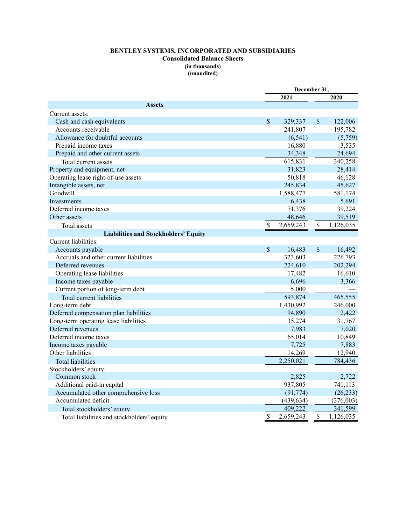# **BENTLEY SYSTEMS, INCORPORATED AND SUBSIDIARIES Consolidated Balance Sheets (in thousands) (unaudited)**

|                                             |               | December 31, |               |           |  |  |
|---------------------------------------------|---------------|--------------|---------------|-----------|--|--|
|                                             |               | 2021         |               | 2020      |  |  |
| <b>Assets</b>                               |               |              |               |           |  |  |
| Current assets:                             |               |              |               |           |  |  |
| Cash and cash equivalents                   | \$            | 329,337      | \$            | 122,006   |  |  |
| Accounts receivable                         |               | 241,807      |               | 195,782   |  |  |
| Allowance for doubtful accounts             |               | (6, 541)     |               | (5,759)   |  |  |
| Prepaid income taxes                        |               | 16,880       |               | 3,535     |  |  |
| Prepaid and other current assets            |               | 34,348       |               | 24,694    |  |  |
| Total current assets                        |               | 615,831      |               | 340,258   |  |  |
| Property and equipment, net                 |               | 31,823       |               | 28,414    |  |  |
| Operating lease right-of-use assets         |               | 50,818       |               | 46,128    |  |  |
| Intangible assets, net                      |               | 245,834      |               | 45,627    |  |  |
| Goodwill                                    |               | 1,588,477    |               | 581,174   |  |  |
| <b>Investments</b>                          |               | 6,438        |               | 5,691     |  |  |
| Deferred income taxes                       |               | 71,376       |               | 39,224    |  |  |
| Other assets                                |               | 48,646       |               | 39,519    |  |  |
| Total assets                                | $\mathcal{S}$ | 2,659,243    | \$            | 1,126,035 |  |  |
| <b>Liabilities and Stockholders' Equity</b> |               |              |               |           |  |  |
| Current liabilities:                        |               |              |               |           |  |  |
| Accounts payable                            | $\mathcal{S}$ | 16,483       | $\mathcal{S}$ | 16,492    |  |  |
| Accruals and other current liabilities      |               | 323,603      |               | 226,793   |  |  |
| Deferred revenues                           |               | 224,610      |               | 202,294   |  |  |
| Operating lease liabilities                 |               | 17,482       |               | 16,610    |  |  |
| Income taxes payable                        |               | 6,696        |               | 3,366     |  |  |
| Current portion of long-term debt           |               | 5,000        |               |           |  |  |
| Total current liabilities                   |               | 593,874      |               | 465,555   |  |  |
| Long-term debt                              |               | 1,430,992    |               | 246,000   |  |  |
| Deferred compensation plan liabilities      |               | 94,890       |               | 2,422     |  |  |
| Long-term operating lease liabilities       |               | 35,274       |               | 31,767    |  |  |
| Deferred revenues                           |               | 7,983        |               | 7,020     |  |  |
| Deferred income taxes                       |               | 65,014       |               | 10,849    |  |  |
| Income taxes payable                        |               | 7,725        |               | 7,883     |  |  |
| Other liabilities                           |               | 14,269       |               | 12,940    |  |  |
| <b>Total liabilities</b>                    |               | 2,250,021    |               | 784,436   |  |  |
| Stockholders' equity:                       |               |              |               |           |  |  |
| Common stock                                |               | 2,825        |               | 2,722     |  |  |
| Additional paid-in capital                  |               | 937,805      |               | 741,113   |  |  |
| Accumulated other comprehensive loss        |               | (91, 774)    |               | (26, 233) |  |  |
| Accumulated deficit                         |               | (439, 634)   |               | (376,003) |  |  |
| Total stockholders' equity                  |               | 409,222      |               | 341,599   |  |  |
| Total liabilities and stockholders' equity  | \$            | 2,659,243    | \$            | 1,126,035 |  |  |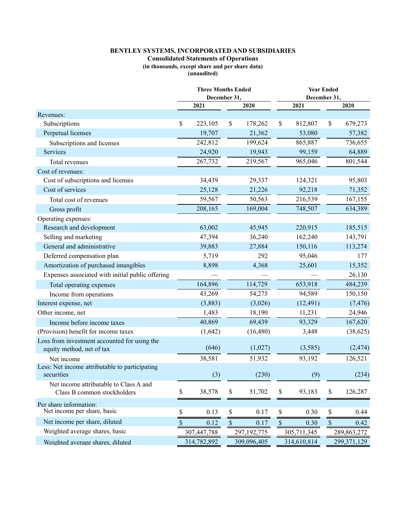# **BENTLEY SYSTEMS, INCORPORATED AND SUBSIDIARIES**

#### **Consolidated Statements of Operations**

**(in thousands, except share and per share data)** 

**(unaudited)** 

|                                                                           |                           | <b>Three Months Ended</b><br>December 31, |              |             |               | <b>Year Ended</b><br>December 31, |             |               |  |  |  |
|---------------------------------------------------------------------------|---------------------------|-------------------------------------------|--------------|-------------|---------------|-----------------------------------|-------------|---------------|--|--|--|
|                                                                           |                           | 2021                                      |              | 2020        |               | 2021                              |             | 2020          |  |  |  |
| Revenues:                                                                 |                           |                                           |              |             |               |                                   |             |               |  |  |  |
| Subscriptions                                                             | \$                        | 223,105                                   | \$           | 178,262     | \$            | 812,807                           | \$          | 679,273       |  |  |  |
| Perpetual licenses                                                        |                           | 19,707                                    |              | 21,362      |               | 53,080                            |             | 57,382        |  |  |  |
| Subscriptions and licenses                                                |                           | 242,812                                   |              | 199,624     |               | 865,887                           |             | 736,655       |  |  |  |
| Services                                                                  |                           | 24,920                                    |              | 19,943      |               | 99,159                            |             | 64,889        |  |  |  |
| Total revenues                                                            |                           | 267,732                                   |              | 219,567     |               | 965,046                           |             | 801,544       |  |  |  |
| Cost of revenues:                                                         |                           |                                           |              |             |               |                                   |             |               |  |  |  |
| Cost of subscriptions and licenses                                        |                           | 34,439                                    |              | 29,337      |               | 124,321                           |             | 95,803        |  |  |  |
| Cost of services                                                          |                           | 25,128                                    |              | 21,226      |               | 92,218                            |             | 71,352        |  |  |  |
| Total cost of revenues                                                    |                           | 59,567                                    |              | 50,563      |               | 216,539                           |             | 167,155       |  |  |  |
| Gross profit                                                              |                           | 208,165                                   |              | 169,004     |               | 748,507                           |             | 634,389       |  |  |  |
| Operating expenses:                                                       |                           |                                           |              |             |               |                                   |             |               |  |  |  |
| Research and development                                                  |                           | 63,002                                    |              | 45,945      |               | 220,915                           |             | 185,515       |  |  |  |
| Selling and marketing                                                     |                           | 47,394                                    |              | 36,240      |               | 162,240                           |             | 143,791       |  |  |  |
| General and administrative                                                |                           | 39,883                                    |              | 27,884      |               | 150,116                           |             | 113,274       |  |  |  |
| Deferred compensation plan                                                |                           | 5,719                                     |              | 292         |               | 95,046                            |             | 177           |  |  |  |
| Amortization of purchased intangibles                                     |                           | 8,898                                     |              | 4,368       |               | 25,601                            |             | 15,352        |  |  |  |
| Expenses associated with initial public offering                          |                           |                                           |              |             |               |                                   |             | 26,130        |  |  |  |
| Total operating expenses                                                  |                           | 164,896                                   |              | 114,729     |               | 653,918                           |             | 484,239       |  |  |  |
| Income from operations                                                    |                           | 43,269                                    |              | 54,275      |               | 94,589                            |             | 150,150       |  |  |  |
| Interest expense, net                                                     |                           | (3,883)                                   |              | (3,026)     |               | (12, 491)                         |             | (7, 476)      |  |  |  |
| Other income, net                                                         |                           | 1,483                                     |              | 18,190      |               | 11,231                            |             | 24,946        |  |  |  |
| Income before income taxes                                                |                           | 40,869                                    |              | 69,439      |               | 93,329                            |             | 167,620       |  |  |  |
| (Provision) benefit for income taxes                                      |                           | (1,642)                                   |              | (16, 480)   |               | 3,448                             |             | (38, 625)     |  |  |  |
| Loss from investment accounted for using the<br>equity method, net of tax |                           | (646)                                     |              | (1,027)     |               | (3,585)                           |             | (2, 474)      |  |  |  |
| Net income                                                                |                           | 38,581                                    |              | 51,932      |               | 93,192                            |             | 126,521       |  |  |  |
| Less: Net income attributable to participating<br>securities              |                           | (3)                                       |              | (230)       |               | (9)                               |             | (234)         |  |  |  |
| Net income attributable to Class A and<br>Class B common stockholders     | \$                        | 38,578                                    | \$           | 51,702      | \$            | 93,183                            | \$          | 126,287       |  |  |  |
| Per share information:<br>Net income per share, basic                     | \$                        | 0.13                                      | \$           | 0.17        | \$            | 0.30                              | \$          | 0.44          |  |  |  |
| Net income per share, diluted                                             | $\boldsymbol{\mathsf{S}}$ | 0.12                                      | $\mathbb{S}$ | 0.17        | $\mathcal{S}$ | 0.30                              | $\mathbb S$ | 0.42          |  |  |  |
| Weighted average shares, basic                                            |                           | 307,447,788                               |              | 297,192,775 |               | 305,711,345                       |             | 289,863,272   |  |  |  |
| Weighted average shares, diluted                                          |                           | 314,782,892                               |              | 309,096,405 |               | 314,610,814                       |             | 299, 371, 129 |  |  |  |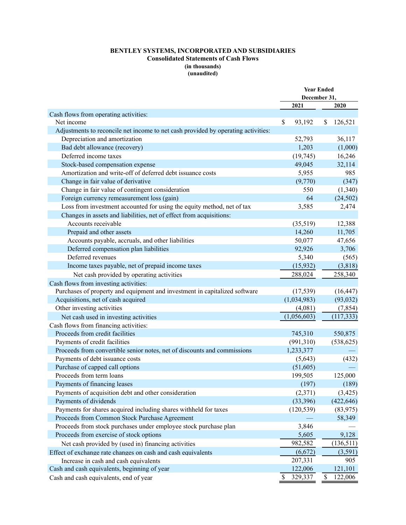# **BENTLEY SYSTEMS, INCORPORATED AND SUBSIDIARIES Consolidated Statements of Cash Flows (in thousands) (unaudited)**

|                                                                                   | <b>Year Ended</b> |              |    |            |  |
|-----------------------------------------------------------------------------------|-------------------|--------------|----|------------|--|
|                                                                                   |                   | December 31, |    |            |  |
|                                                                                   |                   | 2021         |    | 2020       |  |
| Cash flows from operating activities:                                             |                   |              |    |            |  |
| Net income                                                                        | \$                | 93,192       | \$ | 126,521    |  |
| Adjustments to reconcile net income to net cash provided by operating activities: |                   |              |    |            |  |
| Depreciation and amortization                                                     |                   | 52,793       |    | 36,117     |  |
| Bad debt allowance (recovery)                                                     |                   | 1,203        |    | (1,000)    |  |
| Deferred income taxes                                                             |                   | (19, 745)    |    | 16,246     |  |
| Stock-based compensation expense                                                  |                   | 49,045       |    | 32,114     |  |
| Amortization and write-off of deferred debt issuance costs                        |                   | 5,955        |    | 985        |  |
| Change in fair value of derivative                                                |                   | (9,770)      |    | (347)      |  |
| Change in fair value of contingent consideration                                  |                   | 550          |    | (1,340)    |  |
| Foreign currency remeasurement loss (gain)                                        |                   | 64           |    | (24, 502)  |  |
| Loss from investment accounted for using the equity method, net of tax            |                   | 3,585        |    | 2,474      |  |
| Changes in assets and liabilities, net of effect from acquisitions:               |                   |              |    |            |  |
| Accounts receivable                                                               |                   | (35,519)     |    | 12,388     |  |
| Prepaid and other assets                                                          |                   | 14,260       |    | 11,705     |  |
| Accounts payable, accruals, and other liabilities                                 |                   | 50,077       |    | 47,656     |  |
| Deferred compensation plan liabilities                                            |                   | 92,926       |    | 3,706      |  |
| Deferred revenues                                                                 |                   | 5,340        |    | (565)      |  |
| Income taxes payable, net of prepaid income taxes                                 |                   | (15, 932)    |    | (3,818)    |  |
| Net cash provided by operating activities                                         |                   | 288,024      |    | 258,340    |  |
| Cash flows from investing activities:                                             |                   |              |    |            |  |
| Purchases of property and equipment and investment in capitalized software        |                   | (17, 539)    |    | (16, 447)  |  |
| Acquisitions, net of cash acquired                                                |                   | (1,034,983)  |    | (93, 032)  |  |
| Other investing activities                                                        |                   | (4,081)      |    | (7, 854)   |  |
| Net cash used in investing activities                                             |                   | (1,056,603)  |    | (117, 333) |  |
| Cash flows from financing activities:                                             |                   |              |    |            |  |
| Proceeds from credit facilities                                                   |                   | 745,310      |    | 550,875    |  |
| Payments of credit facilities                                                     |                   | (991,310)    |    | (538, 625) |  |
| Proceeds from convertible senior notes, net of discounts and commissions          |                   | 1,233,377    |    |            |  |
| Payments of debt issuance costs                                                   |                   | (5,643)      |    | (432)      |  |
| Purchase of capped call options                                                   |                   | (51,605)     |    |            |  |
| Proceeds from term loans                                                          |                   | 199,505      |    | 125,000    |  |
| Payments of financing leases                                                      |                   | (197)        |    | (189)      |  |
| Payments of acquisition debt and other consideration                              |                   | (2,371)      |    | (3, 425)   |  |
| Payments of dividends                                                             |                   | (33, 396)    |    | (422, 646) |  |
| Payments for shares acquired including shares withheld for taxes                  |                   | (120, 539)   |    | (83, 975)  |  |
| Proceeds from Common Stock Purchase Agreement                                     |                   |              |    | 58,349     |  |
| Proceeds from stock purchases under employee stock purchase plan                  |                   | 3,846        |    |            |  |
| Proceeds from exercise of stock options                                           |                   | 5,605        |    | 9,128      |  |
| Net cash provided by (used in) financing activities                               |                   | 982,582      |    | (136,511)  |  |
| Effect of exchange rate changes on cash and cash equivalents                      |                   | (6,672)      |    | (3,591)    |  |
| Increase in cash and cash equivalents                                             |                   | 207,331      |    | 905        |  |
| Cash and cash equivalents, beginning of year                                      |                   | 122,006      |    | 121,101    |  |
| Cash and cash equivalents, end of year                                            | \$                | 329,337      | \$ | 122,006    |  |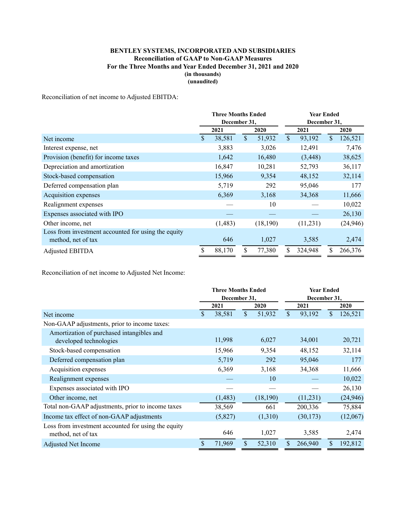# **BENTLEY SYSTEMS, INCORPORATED AND SUBSIDIARIES Reconciliation of GAAP to Non-GAAP Measures For the Three Months and Year Ended December 31, 2021 and 2020 (in thousands) (unaudited)**

Reconciliation of net income to Adjusted EBITDA:

|                                                                           | <b>Three Months Ended</b> |         |               | <b>Year Ended</b> |      |          |    |           |
|---------------------------------------------------------------------------|---------------------------|---------|---------------|-------------------|------|----------|----|-----------|
|                                                                           | December 31.              |         |               | December 31,      |      |          |    |           |
|                                                                           | 2021                      |         | 2020          |                   | 2021 |          |    | 2020      |
| Net income                                                                | S                         | 38,581  | $\mathcal{S}$ | 51,932            | \$   | 93,192   | \$ | 126,521   |
| Interest expense, net                                                     |                           | 3,883   |               | 3,026             |      | 12,491   |    | 7,476     |
| Provision (benefit) for income taxes                                      |                           | 1,642   |               | 16,480            |      | (3, 448) |    | 38,625    |
| Depreciation and amortization                                             |                           | 16,847  |               | 10,281            |      | 52,793   |    | 36,117    |
| Stock-based compensation                                                  |                           | 15,966  |               | 9,354             |      | 48,152   |    | 32,114    |
| Deferred compensation plan                                                |                           | 5,719   |               | 292               |      | 95,046   |    | 177       |
| Acquisition expenses                                                      |                           | 6,369   |               | 3,168             |      | 34,368   |    | 11,666    |
| Realignment expenses                                                      |                           |         |               | 10                |      |          |    | 10,022    |
| Expenses associated with IPO                                              |                           |         |               |                   |      |          |    | 26,130    |
| Other income, net                                                         |                           | (1,483) |               | (18,190)          |      | (11,231) |    | (24, 946) |
| Loss from investment accounted for using the equity<br>method, net of tax |                           | 646     |               | 1,027             |      | 3,585    |    | 2,474     |
| Adjusted EBITDA                                                           |                           | 88,170  |               | 77,380            |      | 324,948  | S. | 266,376   |

Reconciliation of net income to Adjusted Net Income:

|                                                                           | <b>Three Months Ended</b> |          |      |          | <b>Year Ended</b> |           |    |           |  |
|---------------------------------------------------------------------------|---------------------------|----------|------|----------|-------------------|-----------|----|-----------|--|
|                                                                           | December 31,              |          |      |          | December 31,      |           |    |           |  |
|                                                                           | 2021                      |          | 2020 |          | 2021              |           |    | 2020      |  |
| Net income                                                                | \$                        | 38,581   | \$   | 51,932   | \$                | 93,192    | \$ | 126,521   |  |
| Non-GAAP adjustments, prior to income taxes:                              |                           |          |      |          |                   |           |    |           |  |
| Amortization of purchased intangibles and<br>developed technologies       |                           | 11,998   |      | 6,027    |                   | 34,001    |    | 20,721    |  |
| Stock-based compensation                                                  |                           | 15,966   |      | 9,354    |                   | 48,152    |    | 32,114    |  |
| Deferred compensation plan                                                |                           | 5,719    |      | 292      |                   | 95,046    |    | 177       |  |
| Acquisition expenses                                                      |                           | 6,369    |      | 3,168    |                   | 34,368    |    | 11,666    |  |
| Realignment expenses                                                      |                           |          |      | 10       |                   |           |    | 10,022    |  |
| Expenses associated with IPO                                              |                           |          |      |          |                   |           |    | 26,130    |  |
| Other income, net                                                         |                           | (1, 483) |      | (18,190) |                   | (11,231)  |    | (24, 946) |  |
| Total non-GAAP adjustments, prior to income taxes                         |                           | 38,569   |      | 661      |                   | 200,336   |    | 75,884    |  |
| Income tax effect of non-GAAP adjustments                                 |                           | (5,827)  |      | (1,310)  |                   | (30, 173) |    | (12,067)  |  |
| Loss from investment accounted for using the equity<br>method, net of tax |                           | 646      |      | 1,027    |                   | 3,585     |    | 2,474     |  |
| Adjusted Net Income                                                       | \$                        | 71,969   | \$   | 52,310   | \$                | 266,940   | \$ | 192,812   |  |